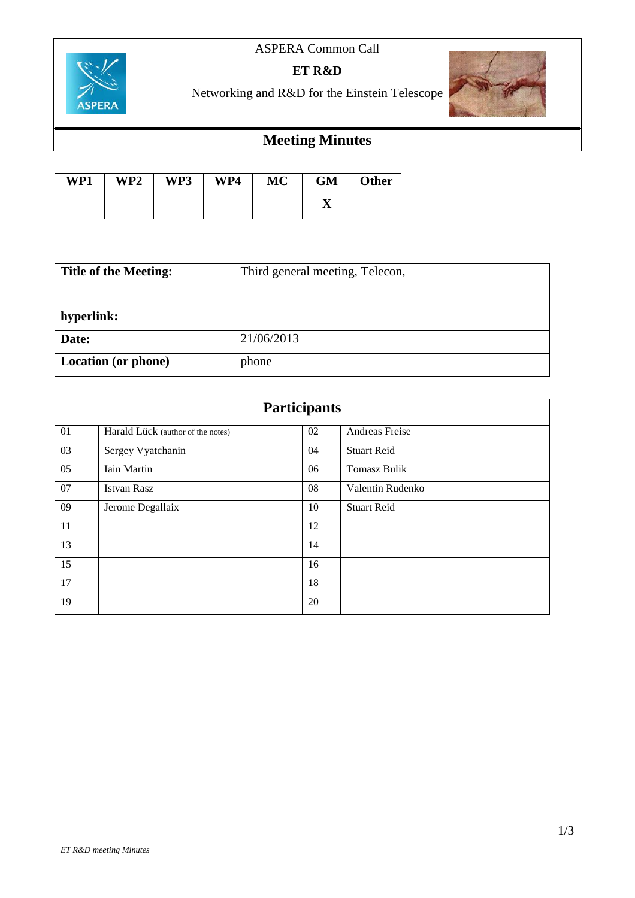# ASPERA Common Call



**ET R&D**



Networking and R&D for the Einstein Telescope

# **Meeting Minutes**

| WP1 | WP2 | WP3 | WP4 | <b>MC</b> | <b>GM</b> | <b>Other</b> |
|-----|-----|-----|-----|-----------|-----------|--------------|
|     |     |     |     |           |           |              |

| <b>Title of the Meeting:</b> | Third general meeting, Telecon, |  |  |
|------------------------------|---------------------------------|--|--|
|                              |                                 |  |  |
| hyperlink:                   |                                 |  |  |
| Date:                        | 21/06/2013                      |  |  |
| Location (or phone)          | phone                           |  |  |

| <b>Participants</b> |                                   |    |                     |  |  |  |
|---------------------|-----------------------------------|----|---------------------|--|--|--|
| 01                  | Harald Lück (author of the notes) | 02 | Andreas Freise      |  |  |  |
| 03                  | Sergey Vyatchanin                 | 04 | <b>Stuart Reid</b>  |  |  |  |
| 05                  | <b>Iain Martin</b>                | 06 | <b>Tomasz Bulik</b> |  |  |  |
| 07                  | <b>Istvan Rasz</b>                | 08 | Valentin Rudenko    |  |  |  |
| 09                  | Jerome Degallaix                  | 10 | <b>Stuart Reid</b>  |  |  |  |
| 11                  |                                   | 12 |                     |  |  |  |
| 13                  |                                   | 14 |                     |  |  |  |
| 15                  |                                   | 16 |                     |  |  |  |
| 17                  |                                   | 18 |                     |  |  |  |
| 19                  |                                   | 20 |                     |  |  |  |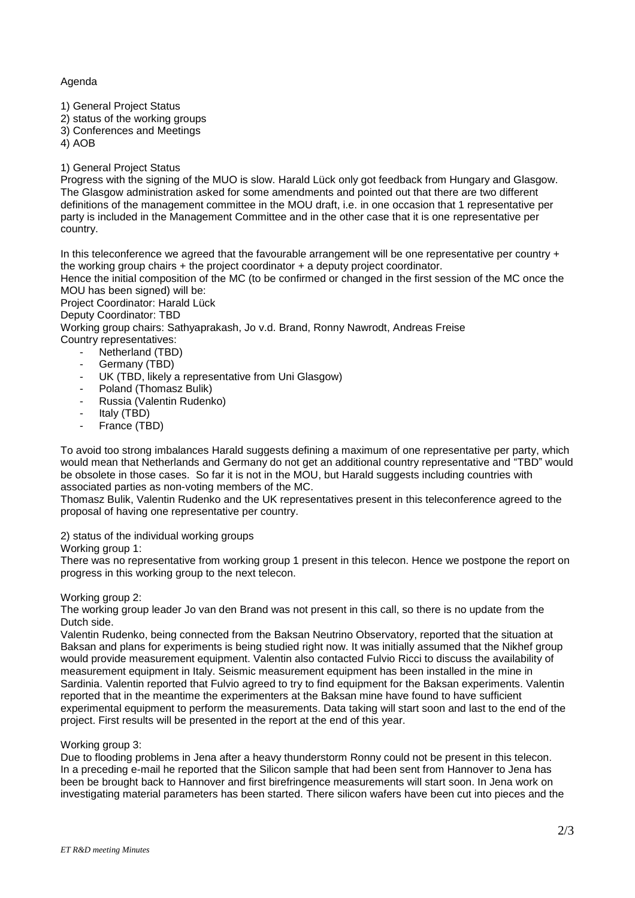# Agenda

- 1) General Project Status
- 2) status of the working groups
- 3) Conferences and Meetings
- 4) AOB

## 1) General Project Status

Progress with the signing of the MUO is slow. Harald Lück only got feedback from Hungary and Glasgow. The Glasgow administration asked for some amendments and pointed out that there are two different definitions of the management committee in the MOU draft, i.e. in one occasion that 1 representative per party is included in the Management Committee and in the other case that it is one representative per country.

In this teleconference we agreed that the favourable arrangement will be one representative per country + the working group chairs + the project coordinator + a deputy project coordinator.

Hence the initial composition of the MC (to be confirmed or changed in the first session of the MC once the MOU has been signed) will be:

Project Coordinator: Harald Lück

#### Deputy Coordinator: TBD

Working group chairs: Sathyaprakash, Jo v.d. Brand, Ronny Nawrodt, Andreas Freise Country representatives:

- Netherland (TBD)
- Germany (TBD)
- UK (TBD, likely a representative from Uni Glasgow)
- Poland (Thomasz Bulik)
- Russia (Valentin Rudenko)
- Italy (TBD)
- France (TBD)

To avoid too strong imbalances Harald suggests defining a maximum of one representative per party, which would mean that Netherlands and Germany do not get an additional country representative and "TBD" would be obsolete in those cases. So far it is not in the MOU, but Harald suggests including countries with associated parties as non-voting members of the MC.

Thomasz Bulik, Valentin Rudenko and the UK representatives present in this teleconference agreed to the proposal of having one representative per country.

2) status of the individual working groups

#### Working group 1:

There was no representative from working group 1 present in this telecon. Hence we postpone the report on progress in this working group to the next telecon.

#### Working group 2:

The working group leader Jo van den Brand was not present in this call, so there is no update from the Dutch side.

Valentin Rudenko, being connected from the Baksan Neutrino Observatory, reported that the situation at Baksan and plans for experiments is being studied right now. It was initially assumed that the Nikhef group would provide measurement equipment. Valentin also contacted Fulvio Ricci to discuss the availability of measurement equipment in Italy. Seismic measurement equipment has been installed in the mine in Sardinia. Valentin reported that Fulvio agreed to try to find equipment for the Baksan experiments. Valentin reported that in the meantime the experimenters at the Baksan mine have found to have sufficient experimental equipment to perform the measurements. Data taking will start soon and last to the end of the project. First results will be presented in the report at the end of this year.

#### Working group 3:

Due to flooding problems in Jena after a heavy thunderstorm Ronny could not be present in this telecon. In a preceding e-mail he reported that the Silicon sample that had been sent from Hannover to Jena has been be brought back to Hannover and first birefringence measurements will start soon. In Jena work on investigating material parameters has been started. There silicon wafers have been cut into pieces and the